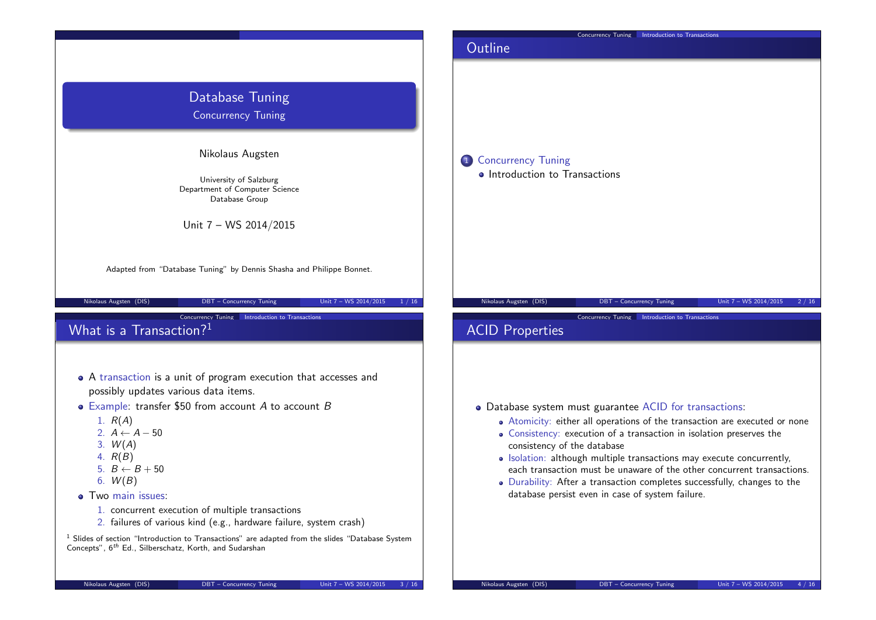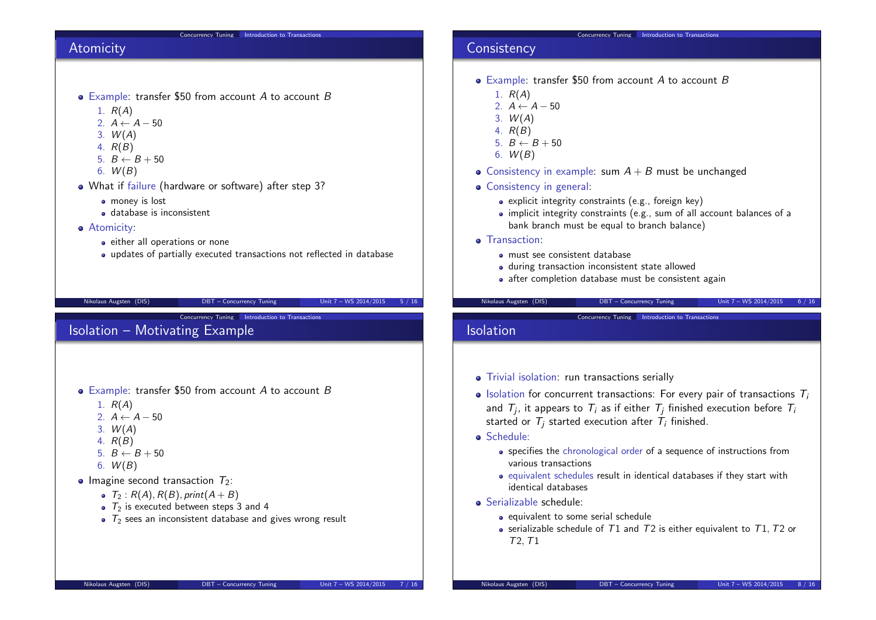### Concurrency Tuning | Introduction to Transactions

# Atomicity

- $\bullet$  Example: transfer \$50 from account A to account B
	- 1.  $R(A)$
	- 2.  $A \leftarrow A 50$
	- $3. W(A)$
	- 4. R(B)
	- 5.  $B \leftarrow B + 50$
	- 6.  $W(B)$
- What if failure (hardware or software) after step 3?
	- **•** money is lost
	- database is inconsistent
- **•** Atomicity:
	- either all operations or none
	- updates of partially executed transactions not reflected in database

Nikolaus Augsten (DIS) DBT – Concurrency Tuning Unit 7 – WS 2014/2015 5 / 16

Concurrency Tuning Introduction to Transactions

# Isolation – Motivating Example

- Example: transfer \$50 from account A to account B
	- 1.  $R(A)$
	- 2.  $A \leftarrow A 50$
	- 3.  $W(A)$
	- 4. R(B)
	- 5.  $B \leftarrow B + 50$
	- 6.  $W(B)$
- Imagine second transaction  $T_2$ :
	- $T_2$ :  $R(A)$ ,  $R(B)$ , print $(A + B)$
	- $\bullet$   $\tau_2$  is executed between steps 3 and 4
	- $\bullet$   $\tau_2$  sees an inconsistent database and gives wrong result

#### Concurrency Tuning Introduction to Transactions

# **Consistency**

- $\bullet$  Example: transfer \$50 from account A to account B
	- 1.  $R(A)$
	- 2.  $A \leftarrow A 50$
	- $3. W(A)$
	- 4. R(B)
	- $5. B \leftarrow B + 50$
	- 6.  $W(B)$
- Consistency in example: sum  $A + B$  must be unchanged
- Consistency in general:
	- explicit integrity constraints (e.g., foreign key)
	- implicit integrity constraints (e.g., sum of all account balances of a bank branch must be equal to branch balance)
- **o** Transaction:
	- must see consistent database
	- during transaction inconsistent state allowed
	- after completion database must be consistent again

### Nikolaus Augsten (DIS) DBT – Concurrency Tuning Unit 7 – WS 2014/2015 6 / 16

Concurrency Tuning Introduction to Transactions

### Isolation

- Trivial isolation: run transactions serially
- $\bullet$  Isolation for concurrent transactions: For every pair of transactions  $T_i$ and  $\mathcal{T}_j$ , it appears to  $\mathcal{T}_i$  as if either  $\mathcal{T}_j$  finished execution before  $\mathcal{T}_i$ started or  $T_i$  started execution after  $T_i$  finished.
- **·** Schedule:
	- specifies the chronological order of a sequence of instructions from various transactions
	- equivalent schedules result in identical databases if they start with identical databases
- Serializable schedule:
	- $\bullet$  equivalent to some serial schedule
	- serializable schedule of  $T1$  and  $T2$  is either equivalent to  $T1$ ,  $T2$  or T2,T1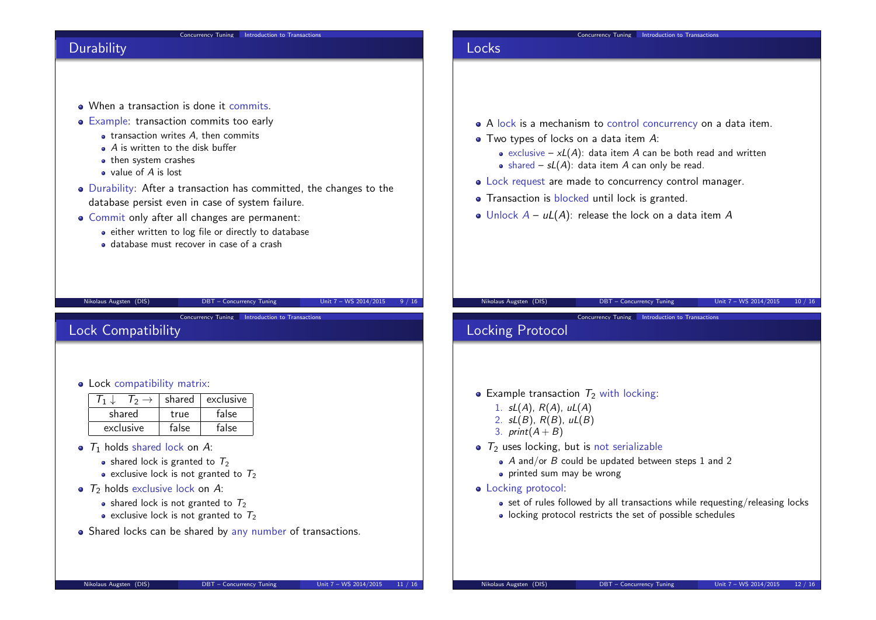### Concurrency Tuning | Introduction to Transactions

# **Durability**

- When a transaction is done it commits.
- Example: transaction commits too early
	- $\bullet$  transaction writes  $A$ , then commits
	- $\bullet$  A is written to the disk buffer
	- then system crashes
	- value of A is lost

Lock Compatibility

Lock compatibility matrix:

 $shared$   $true$ 

 $\bullet$   $T_1$  holds shared lock on A:

 $\bullet$   $\overline{T_2}$  holds exclusive lock on A:

 $T_1 \downarrow \quad T_2 \rightarrow$  shared exclusive<br>shared true false

exclusive | false | false

• shared lock is granted to  $T_2$ • exclusive lock is not granted to  $T_2$ 

• shared lock is not granted to  $T_2$ • exclusive lock is not granted to  $T_2$ 

Durability: After a transaction has committed, the changes to the database persist even in case of system failure.

Nikolaus Augsten (DIS) DBT – Concurrency Tuning Unit 7 – WS 2014/2015 9 / 16

Concurrency Tuning Introduction to Transactions

- Commit only after all changes are permanent:
	- either written to log file or directly to database
	- database must recover in case of a crash

# Locks

- A lock is a mechanism to control concurrency on a data item.
- Two types of locks on a data item A:
	- exclusive  $xL(A)$ : data item A can be both read and written
	- shared  $sL(A)$ : data item A can only be read.
- Lock request are made to concurrency control manager.
- Transaction is blocked until lock is granted.
- Unlock  $A uL(A)$ : release the lock on a data item A

## Nikolaus Augsten (DIS) DBT – Concurrency Tuning Unit 7 – WS 2014/2015 10 / 16

Concurrency Tuning Introduction to Transactions

# Locking Protocol

- Example transaction  $T_2$  with locking:
	- 1.  $sL(A)$ ,  $R(A)$ ,  $uL(A)$
	- 2.  $sL(B)$ ,  $R(B)$ ,  $uL(B)$
	- 3. print $(A + B)$
- $\bullet$   $\tau_2$  uses locking, but is not serializable
	- $\bullet$  A and/or B could be updated between steps 1 and 2
	- printed sum may be wrong
- Locking protocol:
	- set of rules followed by all transactions while requesting/releasing locks
	- locking protocol restricts the set of possible schedules

• Shared locks can be shared by any number of transactions.